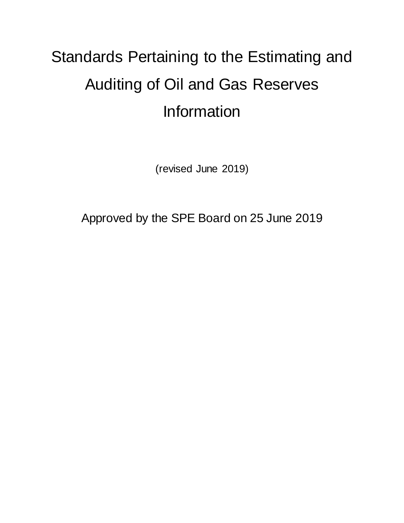# Standards Pertaining to the Estimating and Auditing of Oil and Gas Reserves Information

(revised June 2019)

Approved by the SPE Board on 25 June 2019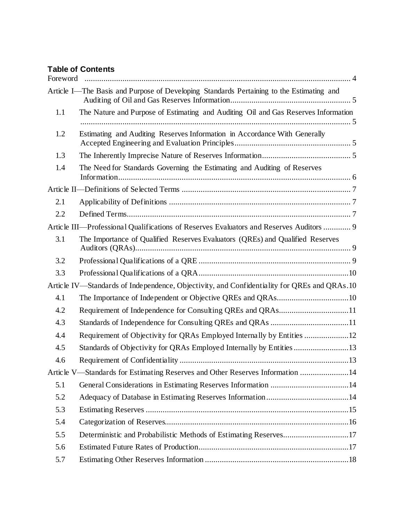## **Table of Contents**

|     | Article I-The Basis and Purpose of Developing Standards Pertaining to the Estimating and    |  |
|-----|---------------------------------------------------------------------------------------------|--|
| 1.1 | The Nature and Purpose of Estimating and Auditing Oil and Gas Reserves Information          |  |
| 1.2 | Estimating and Auditing Reserves Information in Accordance With Generally                   |  |
| 1.3 |                                                                                             |  |
| 1.4 | The Need for Standards Governing the Estimating and Auditing of Reserves                    |  |
|     |                                                                                             |  |
| 2.1 |                                                                                             |  |
| 2.2 |                                                                                             |  |
|     | Article III—Professional Qualifications of Reserves Evaluators and Reserves Auditors  9     |  |
| 3.1 | The Importance of Qualified Reserves Evaluators (QREs) and Qualified Reserves               |  |
| 3.2 |                                                                                             |  |
| 3.3 |                                                                                             |  |
|     | Article IV—Standards of Independence, Objectivity, and Confidentiality for QREs and QRAs.10 |  |
| 4.1 |                                                                                             |  |
| 4.2 |                                                                                             |  |
| 4.3 |                                                                                             |  |
| 4.4 |                                                                                             |  |
| 4.5 | Standards of Objectivity for QRAs Employed Internally by Entities13                         |  |
| 4.6 |                                                                                             |  |
|     | Article V—Standards for Estimating Reserves and Other Reserves Information 14               |  |
| 5.1 |                                                                                             |  |
| 5.2 |                                                                                             |  |
| 5.3 |                                                                                             |  |
| 5.4 |                                                                                             |  |
| 5.5 | Deterministic and Probabilistic Methods of Estimating Reserves17                            |  |
| 5.6 |                                                                                             |  |
| 5.7 |                                                                                             |  |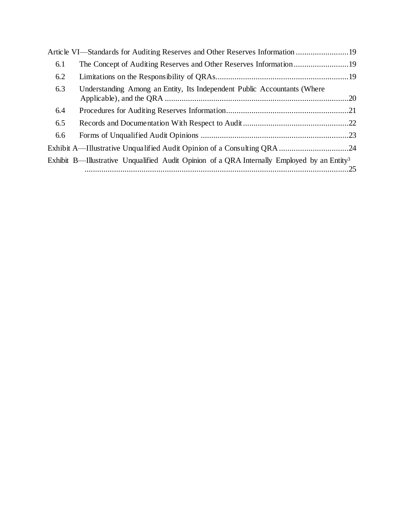|     | Article VI—Standards for Auditing Reserves and Other Reserves Information 19                            |  |
|-----|---------------------------------------------------------------------------------------------------------|--|
| 6.1 |                                                                                                         |  |
| 6.2 |                                                                                                         |  |
| 6.3 | Understanding Among an Entity, Its Independent Public Accountants (Where                                |  |
| 6.4 |                                                                                                         |  |
| 6.5 |                                                                                                         |  |
| 6.6 |                                                                                                         |  |
|     |                                                                                                         |  |
|     | Exhibit B—Illustrative Unqualified Audit Opinion of a QRA Internally Employed by an Entity <sup>3</sup> |  |
|     |                                                                                                         |  |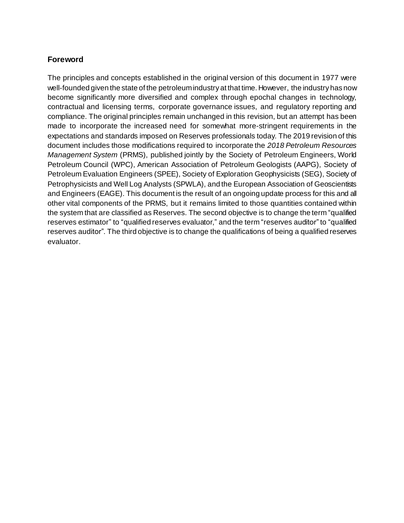# <span id="page-3-0"></span>**Foreword**

The principles and concepts established in the original version of this document in 1977 were well-founded given the state of the petroleumindustry at that time. However, the industry has now become significantly more diversified and complex through epochal changes in technology, contractual and licensing terms, corporate governance issues, and regulatory reporting and compliance. The original principles remain unchanged in this revision, but an attempt has been made to incorporate the increased need for somewhat more-stringent requirements in the expectations and standards imposed on Reserves professionals today. The 2019 revision of this document includes those modifications required to incorporate the *2018 Petroleum Resources Management System* (PRMS), published jointly by the Society of Petroleum Engineers, World Petroleum Council (WPC), American Association of Petroleum Geologists (AAPG), Society of Petroleum Evaluation Engineers (SPEE), Society of Exploration Geophysicists (SEG), Society of Petrophysicists and Well Log Analysts (SPWLA), and the European Association of Geoscientists and Engineers (EAGE). This document is the result of an ongoing update process for this and all other vital components of the PRMS, but it remains limited to those quantities contained within the system that are classified as Reserves. The second objective is to change the term "qualified reserves estimator" to "qualified reserves evaluator," and the term "reserves auditor" to "qualified reserves auditor". The third objective is to change the qualifications of being a qualified reserves evaluator.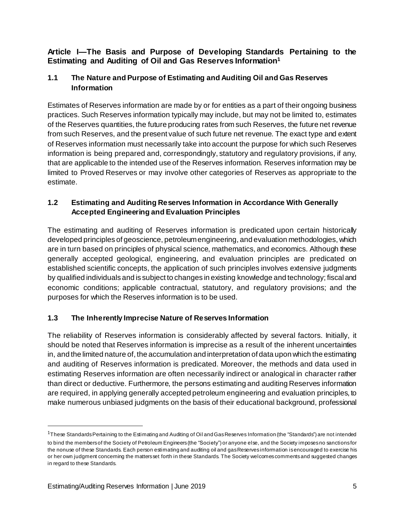## <span id="page-4-0"></span>**Article I—The Basis and Purpose of Developing Standards Pertaining to the Estimating and Auditing of Oil and Gas Reserves Information<sup>1</sup>**

# <span id="page-4-1"></span>**1.1 The Nature and Purpose of Estimating and Auditing Oil and Gas Reserves Information**

Estimates of Reserves information are made by or for entities as a part of their ongoing business practices. Such Reserves information typically may include, but may not be limited to, estimates of the Reserves quantities, the future producing rates from such Reserves, the future net revenue from such Reserves, and the present value of such future net revenue. The exact type and extent of Reserves information must necessarily take into account the purpose for which such Reserves information is being prepared and, correspondingly, statutory and regulatory provisions, if any, that are applicable to the intended use of the Reserves information. Reserves information may be limited to Proved Reserves or may involve other categories of Reserves as appropriate to the estimate.

# <span id="page-4-2"></span>**1.2 Estimating and Auditing Reserves Information in Accordance With Generally Accepted Engineering and Evaluation Principles**

The estimating and auditing of Reserves information is predicated upon certain historically developed principles of geoscience, petroleumengineering, and evaluation methodologies, which are in turn based on principles of physical science, mathematics, and economics. Although these generally accepted geological, engineering, and evaluation principles are predicated on established scientific concepts, the application of such principles involves extensive judgments by qualified individuals and is subject to changes in existing knowledge and technology; fiscal and economic conditions; applicable contractual, statutory, and regulatory provisions; and the purposes for which the Reserves information is to be used.

# <span id="page-4-3"></span>**1.3 The Inherently Imprecise Nature of Reserves Information**

The reliability of Reserves information is considerably affected by several factors. Initially, it should be noted that Reserves information is imprecise as a result of the inherent uncertainties in, and the limited nature of, the accumulation and interpretation of data upon which the estimating and auditing of Reserves information is predicated. Moreover, the methods and data used in estimating Reserves information are often necessarily indirect or analogical in character rather than direct or deductive. Furthermore, the persons estimating and auditing Reserves information are required, in applying generally accepted petroleum engineering and evaluation principles, to make numerous unbiased judgments on the basis of their educational background, professional

j

<sup>1</sup>These StandardsPertaining to the Estimating and Auditing of Oil andGasReserves Information (the "Standards") are not intended to bind the membersof the Society of Petroleum Engineers(the "Society") or anyone else, and the Society imposesno sanctionsfor the nonuse of these Standards. Each person estimating and auditing oil and gasReservesinformation isencouraged to exercise his or her own judgment concerning the mattersset forth in these Standards. The Society welcomescommentsand suggested changes in regard to these Standards.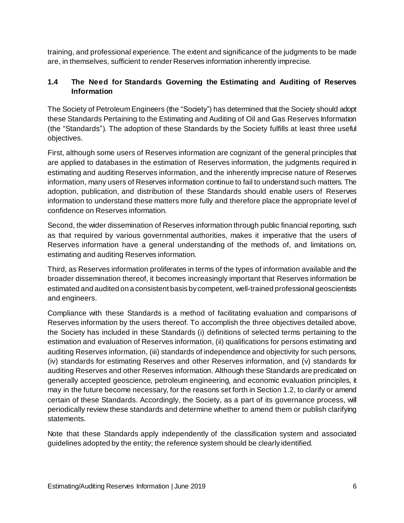training, and professional experience. The extent and significance of the judgments to be made are, in themselves, sufficient to render Reserves information inherently imprecise.

# <span id="page-5-0"></span>**1.4 The Need for Standards Governing the Estimating and Auditing of Reserves Information**

The Society of Petroleum Engineers (the "Society") has determined that the Society should adopt these Standards Pertaining to the Estimating and Auditing of Oil and Gas Reserves Information (the "Standards"). The adoption of these Standards by the Society fulfills at least three useful objectives.

First, although some users of Reserves information are cognizant of the general principles that are applied to databases in the estimation of Reserves information, the judgments required in estimating and auditing Reserves information, and the inherently imprecise nature of Reserves information, many users of Reserves information continue to fail to understand such matters. The adoption, publication, and distribution of these Standards should enable users of Reserves information to understand these matters more fully and therefore place the appropriate level of confidence on Reserves information.

Second, the wider dissemination of Reserves information through public financial reporting, such as that required by various governmental authorities, makes it imperative that the users of Reserves information have a general understanding of the methods of, and limitations on, estimating and auditing Reserves information.

Third, as Reserves information proliferates in terms of the types of information available and the broader dissemination thereof, it becomes increasingly important that Reserves information be estimated and audited on a consistent basis by competent, well-trained professional geoscientists and engineers.

Compliance with these Standards is a method of facilitating evaluation and comparisons of Reserves information by the users thereof. To accomplish the three objectives detailed above, the Society has included in these Standards (i) definitions of selected terms pertaining to the estimation and evaluation of Reserves information, (ii) qualifications for persons estimating and auditing Reserves information, (iii) standards of independence and objectivity for such persons, (iv) standards for estimating Reserves and other Reserves information, and (v) standards for auditing Reserves and other Reserves information. Although these Standards are predicated on generally accepted geoscience, petroleum engineering, and economic evaluation principles, it may in the future become necessary, for the reasons set forth in Section 1.2, to clarify or amend certain of these Standards. Accordingly, the Society, as a part of its governance process, will periodically review these standards and determine whether to amend them or publish clarifying statements.

Note that these Standards apply independently of the classification system and associated guidelines adopted by the entity; the reference system should be clearly identified.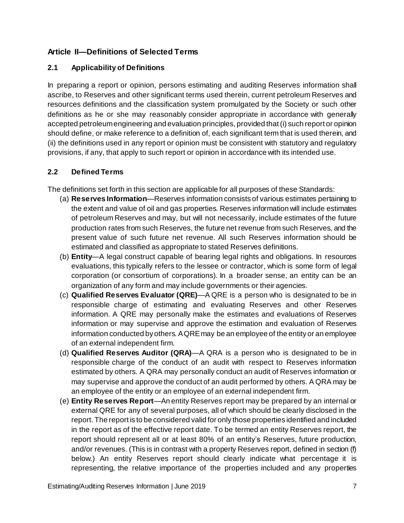# <span id="page-6-0"></span>**Article II—Definitions of Selected Terms**

# <span id="page-6-1"></span>**2.1 Applicability of Definitions**

In preparing a report or opinion, persons estimating and auditing Reserves information shall ascribe, to Reserves and other significant terms used therein, current petroleum Reserves and resources definitions and the classification system promulgated by the Society or such other definitions as he or she may reasonably consider appropriate in accordance with generally accepted petroleumengineering and evaluation principles, provided that(i) such report or opinion should define, or make reference to a definition of, each significant term that is used therein, and (ii) the definitions used in any report or opinion must be consistent with statutory and regulatory provisions, if any, that apply to such report or opinion in accordance with its intended use.

## <span id="page-6-2"></span>**2.2 Defined Terms**

The definitions set forth in this section are applicable for all purposes of these Standards:

- (a) **Reserves Information**—Reserves information consists of various estimates pertaining to the extent and value of oil and gas properties. Reserves information will include estimates of petroleum Reserves and may, but will not necessarily, include estimates of the future production rates from such Reserves, the future net revenue from such Reserves, and the present value of such future net revenue. All such Reserves information should be estimated and classified as appropriate to stated Reserves definitions.
- (b) **Entity**—A legal construct capable of bearing legal rights and obligations. In resources evaluations, this typically refers to the lessee or contractor, which is some form of legal corporation (or consortium of corporations). In a broader sense, an entity can be an organization of any form and may include governments or their agencies.
- (c) **Qualified Reserves Evaluator (QRE)**—A QRE is a person who is designated to be in responsible charge of estimating and evaluating Reserves and other Reserves information. A QRE may personally make the estimates and evaluations of Reserves information or may supervise and approve the estimation and evaluation of Reserves information conducted by others. A QRE may be an employee of the entity or an employee of an external independent firm.
- (d) **Qualified Reserves Auditor (QRA)**—A QRA is a person who is designated to be in responsible charge of the conduct of an audit with respect to Reserves information estimated by others. A QRA may personally conduct an audit of Reserves information or may supervise and approve the conduct of an audit performed by others. A QRA may be an employee of the entity or an employee of an external independent firm.
- (e) **Entity Reserves Report**—An entity Reserves report may be prepared by an internal or external QRE for any of several purposes, all of which should be clearly disclosed in the report. The report is to be considered valid for only those properties identified and included in the report as of the effective report date. To be termed an entity Reserves report, the report should represent all or at least 80% of an entity's Reserves, future production, and/or revenues. (This is in contrast with a property Reserves report, defined in section (f) below.) An entity Reserves report should clearly indicate what percentage it is representing, the relative importance of the properties included and any properties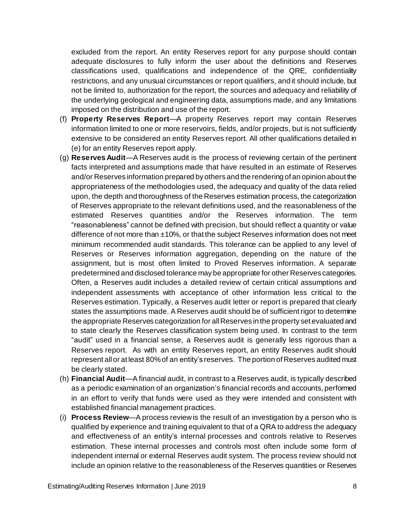excluded from the report. An entity Reserves report for any purpose should contain adequate disclosures to fully inform the user about the definitions and Reserves classifications used, qualifications and independence of the QRE, confidentiality restrictions, and any unusual circumstances or report qualifiers, and it should include, but not be limited to, authorization for the report, the sources and adequacy and reliability of the underlying geological and engineering data, assumptions made, and any limitations imposed on the distribution and use of the report.

- (f) **Property Reserves Report**—A property Reserves report may contain Reserves information limited to one or more reservoirs, fields, and/or projects, but is not sufficiently extensive to be considered an entity Reserves report. All other qualifications detailed in (e) for an entity Reserves report apply.
- (g) **Reserves Audit**—A Reserves audit is the process of reviewing certain of the pertinent facts interpreted and assumptions made that have resulted in an estimate of Reserves and/or Reserves information prepared by others and the rendering of an opinion about the appropriateness of the methodologies used, the adequacy and quality of the data relied upon, the depth and thoroughness of the Reserves estimation process, the categorization of Reserves appropriate to the relevant definitions used, and the reasonableness of the estimated Reserves quantities and/or the Reserves information. The term "reasonableness" cannot be defined with precision, but should reflect a quantity or value difference of not more than  $±10\%$ , or that the subject Reserves information does not meet minimum recommended audit standards. This tolerance can be applied to any level of Reserves or Reserves information aggregation, depending on the nature of the assignment, but is most often limited to Proved Reserves information. A separate predetermined and disclosed tolerance may be appropriate for other Reserves categories. Often, a Reserves audit includes a detailed review of certain critical assumptions and independent assessments with acceptance of other information less critical to the Reserves estimation. Typically, a Reserves audit letter or report is prepared that clearly states the assumptions made. A Reserves audit should be of sufficient rigor to determine the appropriate Reserves categorization for all Reserves in the property set evaluated and to state clearly the Reserves classification system being used. In contrast to the term "audit" used in a financial sense, a Reserves audit is generally less rigorous than a Reserves report. As with an entity Reserves report, an entity Reserves audit should represent all or at least 80%of an entity's reserves. The portion of Reserves audited must be clearly stated.
- (h) **Financial Audit**—A financial audit, in contrast to a Reserves audit, is typically described as a periodic examination of an organization's financial records and accounts, performed in an effort to verify that funds were used as they were intended and consistent with established financial management practices.
- (i) **Process Review**—A process review is the result of an investigation by a person who is qualified by experience and training equivalent to that of a QRA to address the adequacy and effectiveness of an entity's internal processes and controls relative to Reserves estimation. These internal processes and controls most often include some form of independent internal or external Reserves audit system. The process review should not include an opinion relative to the reasonableness of the Reserves quantities or Reserves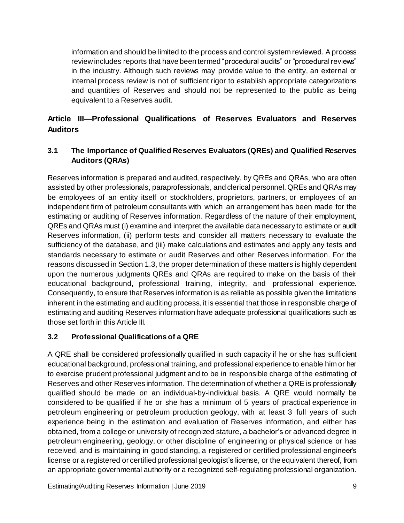information and should be limited to the process and control system reviewed. A process review includes reports that have been termed "procedural audits" or "procedural reviews" in the industry. Although such reviews may provide value to the entity, an external or internal process review is not of sufficient rigor to establish appropriate categorizations and quantities of Reserves and should not be represented to the public as being equivalent to a Reserves audit.

# <span id="page-8-0"></span>**Article III—Professional Qualifications of Reserves Evaluators and Reserves Auditors**

# <span id="page-8-1"></span>**3.1 The Importance of Qualified Reserves Evaluators (QREs) and Qualified Reserves Auditors (QRAs)**

Reserves information is prepared and audited, respectively, by QREs and QRAs, who are often assisted by other professionals, paraprofessionals, and clerical personnel. QREs and QRAs may be employees of an entity itself or stockholders, proprietors, partners, or employees of an independent firm of petroleum consultants with which an arrangement has been made for the estimating or auditing of Reserves information. Regardless of the nature of their employment, QREs and QRAs must (i) examine and interpret the available data necessary to estimate or audit Reserves information, (ii) perform tests and consider all matters necessary to evaluate the sufficiency of the database, and (iii) make calculations and estimates and apply any tests and standards necessary to estimate or audit Reserves and other Reserves information. For the reasons discussed in Section 1.3, the proper determination of these matters is highly dependent upon the numerous judgments QREs and QRAs are required to make on the basis of their educational background, professional training, integrity, and professional experience. Consequently, to ensure that Reserves information is as reliable as possible given the limitations inherent in the estimating and auditing process, it is essential that those in responsible charge of estimating and auditing Reserves information have adequate professional qualifications such as those set forth in this Article III.

# <span id="page-8-2"></span>**3.2 Professional Qualifications of a QRE**

A QRE shall be considered professionally qualified in such capacity if he or she has sufficient educational background, professional training, and professional experience to enable him or her to exercise prudent professional judgment and to be in responsible charge of the estimating of Reserves and other Reserves information. The determination of whether a QRE is professionally qualified should be made on an individual-by-individual basis. A QRE would normally be considered to be qualified if he or she has a minimum of 5 years of practical experience in petroleum engineering or petroleum production geology, with at least 3 full years of such experience being in the estimation and evaluation of Reserves information, and either has obtained, from a college or university of recognized stature, a bachelor's or advanced degree in petroleum engineering, geology, or other discipline of engineering or physical science or has received, and is maintaining in good standing, a registered or certified professional engineer's license or a registered or certified professional geologist's license, or the equivalent thereof, from an appropriate governmental authority or a recognized self-regulating professional organization.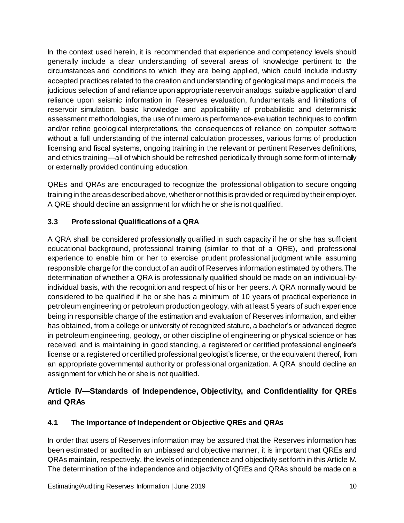In the context used herein, it is recommended that experience and competency levels should generally include a clear understanding of several areas of knowledge pertinent to the circumstances and conditions to which they are being applied, which could include industry accepted practices related to the creation and understanding of geological maps and models, the judicious selection of and reliance upon appropriate reservoir analogs, suitable application of and reliance upon seismic information in Reserves evaluation, fundamentals and limitations of reservoir simulation, basic knowledge and applicability of probabilistic and deterministic assessment methodologies, the use of numerous performance-evaluation techniques to confirm and/or refine geological interpretations, the consequences of reliance on computer software without a full understanding of the internal calculation processes, various forms of production licensing and fiscal systems, ongoing training in the relevant or pertinent Reserves definitions, and ethics training—all of which should be refreshed periodically through some form of internally or externally provided continuing education.

QREs and QRAs are encouraged to recognize the professional obligation to secure ongoing training in the areas describedabove, whetheror not this is provided orrequired by their employer. A QRE should decline an assignment for which he or she is not qualified.

# <span id="page-9-0"></span>**3.3 Professional Qualifications of a QRA**

A QRA shall be considered professionally qualified in such capacity if he or she has sufficient educational background, professional training (similar to that of a QRE), and professional experience to enable him or her to exercise prudent professional judgment while assuming responsible charge for the conduct of an audit of Reserves information estimated by others. The determination of whether a QRA is professionally qualified should be made on an individual-byindividual basis, with the recognition and respect of his or her peers. A QRA normally would be considered to be qualified if he or she has a minimum of 10 years of practical experience in petroleum engineering or petroleum production geology, with at least 5 years of such experience being in responsible charge of the estimation and evaluation of Reserves information, and either has obtained, from a college or university of recognized stature, a bachelor's or advanced degree in petroleum engineering, geology, or other discipline of engineering or physical science or has received, and is maintaining in good standing, a registered or certified professional engineer's license or a registered or certified professional geologist's license, or the equivalent thereof, from an appropriate governmental authority or professional organization. A QRA should decline an assignment for which he or she is not qualified.

# <span id="page-9-1"></span>**Article IV—Standards of Independence, Objectivity, and Confidentiality for QREs and QRAs**

# <span id="page-9-2"></span>**4.1 The Importance of Independent or Objective QREs and QRAs**

In order that users of Reserves information may be assured that the Reserves information has been estimated or audited in an unbiased and objective manner, it is important that QREs and QRAs maintain, respectively, the levels of independence and objectivity set forth in this Article IV. The determination of the independence and objectivity of QREs and QRAs should be made on a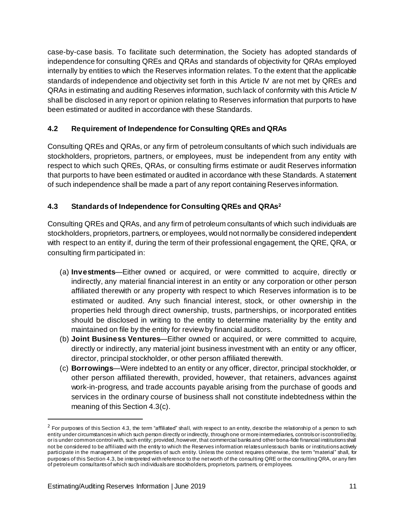case-by-case basis. To facilitate such determination, the Society has adopted standards of independence for consulting QREs and QRAs and standards of objectivity for QRAs employed internally by entities to which the Reserves information relates. To the extent that the applicable standards of independence and objectivity set forth in this Article IV are not met by QREs and QRAs in estimating and auditing Reserves information, such lack of conformity with this Article IV shall be disclosed in any report or opinion relating to Reserves information that purports to have been estimated or audited in accordance with these Standards.

# <span id="page-10-0"></span>**4.2 Requirement of Independence for Consulting QREs and QRAs**

Consulting QREs and QRAs, or any firm of petroleum consultants of which such individuals are stockholders, proprietors, partners, or employees, must be independent from any entity with respect to which such QREs, QRAs, or consulting firms estimate or audit Reserves information that purports to have been estimated or audited in accordance with these Standards. A statement of such independence shall be made a part of any report containing Reserves information.

## <span id="page-10-1"></span>**4.3 Standards of Independence for Consulting QREs and QRAs 2**

Consulting QREs and QRAs, and any firm of petroleum consultants of which such individuals are stockholders, proprietors, partners, or employees, would not normally be considered independent with respect to an entity if, during the term of their professional engagement, the QRE, QRA, or consulting firm participated in:

- (a) **Investments**—Either owned or acquired, or were committed to acquire, directly or indirectly, any material financial interest in an entity or any corporation or other person affiliated therewith or any property with respect to which Reserves information is to be estimated or audited. Any such financial interest, stock, or other ownership in the properties held through direct ownership, trusts, partnerships, or incorporated entities should be disclosed in writing to the entity to determine materiality by the entity and maintained on file by the entity for reviewby financial auditors.
- (b) **Joint Business Ventures**—Either owned or acquired, or were committed to acquire, directly or indirectly, any material joint business investment with an entity or any officer, director, principal stockholder, or other person affiliated therewith.
- (c) **Borrowings**—Were indebted to an entity or any officer, director, principal stockholder, or other person affiliated therewith, provided, however, that retainers, advances against work-in-progress, and trade accounts payable arising from the purchase of goods and services in the ordinary course of business shall not constitute indebtedness within the meaning of this Section 4.3(c).

l

 $2$  For purposes of this Section 4.3, the term "affiliated" shall, with respect to an entity, describe the relationship of a person to such entity under circumstances in which such person directly or indirectly, through one or more intermediaries, controls or is controlled by, or is under common control with, such entity; provided, however, that commercial banks and other bona-fide financial institutions shall not be considered to be affiliated with the entity to which the Reserves information relates unless such banks or institutions actively participate in the management of the properties of such entity. Unless the context requires otherwise, the term "material" shall, for purposes of this Section 4.3, be interpreted with reference to the networth of the consulting QRE or the consulting QRA, or any firm of petroleum consultantsof which such individualsare stockholders, proprietors, partners, or employees.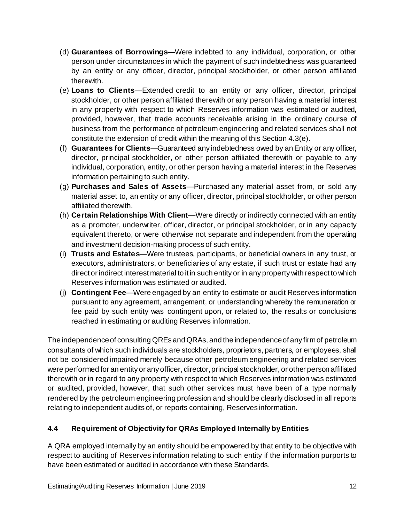- (d) **Guarantees of Borrowings**—Were indebted to any individual, corporation, or other person under circumstances in which the payment of such indebtedness was guaranteed by an entity or any officer, director, principal stockholder, or other person affiliated therewith.
- (e) **Loans to Clients**—Extended credit to an entity or any officer, director, principal stockholder, or other person affiliated therewith or any person having a material interest in any property with respect to which Reserves information was estimated or audited, provided, however, that trade accounts receivable arising in the ordinary course of business from the performance of petroleum engineering and related services shall not constitute the extension of credit within the meaning of this Section 4.3(e).
- (f) **Guarantees for Clients**—Guaranteed any indebtedness owed by anEntity or any officer, director, principal stockholder, or other person affiliated therewith or payable to any individual, corporation, entity, or other person having a material interest in the Reserves information pertaining to such entity.
- (g) **Purchases and Sales of Assets**—Purchased any material asset from, or sold any material asset to, an entity or any officer, director, principal stockholder, or other person affiliated therewith.
- (h) **Certain Relationships With Client**—Were directly or indirectly connected with an entity as a promoter, underwriter, officer, director, or principal stockholder, or in any capacity equivalent thereto, or were otherwise not separate and independent from the operating and investment decision-making process of such entity.
- (i) **Trusts and Estates**—Were trustees, participants, or beneficial owners in any trust, or executors, administrators, or beneficiaries of any estate, if such trust or estate had any direct or indirect interest material to it in such entity or in any property with respect to which Reserves information was estimated or audited.
- (j) **Contingent Fee**—Were engaged by an entity to estimate or audit Reserves information pursuant to any agreement, arrangement, or understanding whereby the remuneration or fee paid by such entity was contingent upon, or related to, the results or conclusions reached in estimating or auditing Reserves information.

The independenceof consulting QREs and QRAs, and the independenceof any firmof petroleum consultants of which such individuals are stockholders, proprietors, partners, or employees, shall not be considered impaired merely because other petroleum engineering and related services were performed for an entity or any officer, director,principal stockholder, or other person affiliated therewith or in regard to any property with respect to which Reserves information was estimated or audited, provided, however, that such other services must have been of a type normally rendered by the petroleum engineering profession and should be clearly disclosed in all reports relating to independent audits of, or reports containing, Reserves information.

# <span id="page-11-0"></span>**4.4 Requirement of Objectivity for QRAs Employed Internally byEntities**

A QRA employed internally by an entity should be empowered by that entity to be objective with respect to auditing of Reserves information relating to such entity if the information purports to have been estimated or audited in accordance with these Standards.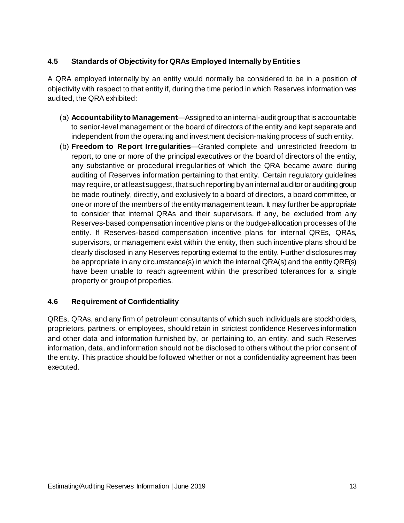# <span id="page-12-0"></span>**4.5 Standards of Objectivity for QRAs Employed Internally byEntities**

A QRA employed internally by an entity would normally be considered to be in a position of objectivity with respect to that entity if, during the time period in which Reserves information was audited, the QRA exhibited:

- (a) **Accountabilityto Management**—Assigned to an internal-audit groupthat is accountable to senior-level management or the board of directors of the entity and kept separate and independent from the operating and investment decision-making process of such entity.
- (b) **Freedom to Report Irregularities**—Granted complete and unrestricted freedom to report, to one or more of the principal executives or the board of directors of the entity, any substantive or procedural irregularities of which the QRA became aware during auditing of Reserves information pertaining to that entity. Certain regulatory guidelines may require, or at least suggest, that such reporting by an internal auditor or auditing group be made routinely, directly, and exclusively to a board of directors, a board committee, or one or more of the members of the entity management team. It may further be appropriate to consider that internal QRAs and their supervisors, if any, be excluded from any Reserves-based compensation incentive plans or the budget-allocation processes of the entity. If Reserves-based compensation incentive plans for internal QREs, QRAs, supervisors, or management exist within the entity, then such incentive plans should be clearly disclosed in any Reserves reporting external to the entity. Further disclosures may be appropriate in any circumstance(s) in which the internal QRA(s) and the entityQRE(s) have been unable to reach agreement within the prescribed tolerances for a single property or group of properties.

#### <span id="page-12-1"></span>**4.6 Requirement of Confidentiality**

QREs, QRAs, and any firm of petroleum consultants of which such individuals are stockholders, proprietors, partners, or employees, should retain in strictest confidence Reserves information and other data and information furnished by, or pertaining to, an entity, and such Reserves information, data, and information should not be disclosed to others without the prior consent of the entity. This practice should be followed whether or not a confidentiality agreement has been executed.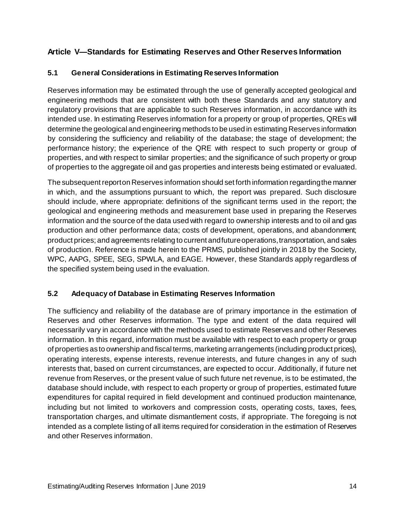# <span id="page-13-0"></span>**Article V—Standards for Estimating Reserves and Other Reserves Information**

## <span id="page-13-1"></span>**5.1 General Considerations in Estimating Reserves Information**

Reserves information may be estimated through the use of generally accepted geological and engineering methods that are consistent with both these Standards and any statutory and regulatory provisions that are applicable to such Reserves information, in accordance with its intended use. In estimating Reserves information for a property or group of properties, QREs will determine the geological and engineering methods to be used in estimating Reserves information by considering the sufficiency and reliability of the database; the stage of development; the performance history; the experience of the QRE with respect to such property or group of properties, and with respect to similar properties; and the significance of such property or group of properties to the aggregate oil and gas properties and interests being estimated or evaluated.

The subsequent reporton Reserves information should set forth information regardingthe manner in which, and the assumptions pursuant to which, the report was prepared. Such disclosure should include, where appropriate: definitions of the significant terms used in the report; the geological and engineering methods and measurement base used in preparing the Reserves information and the source of the data used with regard to ownership interests and to oil and gas production and other performance data; costs of development, operations, and abandonment; product prices; and agreements relating to current andfutureoperations,transportation, and sales of production. Reference is made herein to the PRMS, published jointly in 2018 by the Society, WPC, AAPG, SPEE, SEG, SPWLA, and EAGE. However, these Standards apply regardless of the specified system being used in the evaluation.

#### <span id="page-13-2"></span>**5.2 Adequacy of Database in Estimating Reserves Information**

The sufficiency and reliability of the database are of primary importance in the estimation of Reserves and other Reserves information. The type and extent of the data required will necessarily vary in accordance with the methods used to estimate Reserves and other Reserves information. In this regard, information must be available with respect to each property or group of properties as to ownership and fiscal terms, marketing arrangements (including product prices), operating interests, expense interests, revenue interests, and future changes in any of such interests that, based on current circumstances, are expected to occur. Additionally, if future net revenue from Reserves, or the present value of such future net revenue, is to be estimated, the database should include, with respect to each property or group of properties, estimated future expenditures for capital required in field development and continued production maintenance, including but not limited to workovers and compression costs, operating costs, taxes, fees, transportation charges, and ultimate dismantlement costs, if appropriate. The foregoing is not intended as a complete listing of all items required for consideration in the estimation of Reserves and other Reserves information.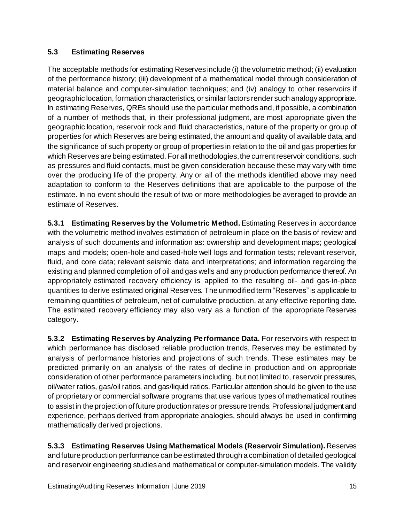#### <span id="page-14-0"></span>**5.3 Estimating Reserves**

The acceptable methods for estimating Reserves include (i) the volumetric method;(ii) evaluation of the performance history; (iii) development of a mathematical model through consideration of material balance and computer-simulation techniques; and (iv) analogy to other reservoirs if geographic location, formation characteristics, or similar factors render such analogy appropriate. In estimating Reserves, QREs should use the particular methods and, if possible, a combination of a number of methods that, in their professional judgment, are most appropriate given the geographic location, reservoir rock and fluid characteristics, nature of the property or group of properties for which Reserves are being estimated, the amount and quality of available data, and the significance of such property or group of properties in relation to the oil and gas properties for which Reserves are being estimated. For all methodologies, the current reservoir conditions, such as pressures and fluid contacts, must be given consideration because these may vary with time over the producing life of the property. Any or all of the methods identified above may need adaptation to conform to the Reserves definitions that are applicable to the purpose of the estimate. In no event should the result of two or more methodologies be averaged to provide an estimate of Reserves.

**5.3.1 Estimating Reserves by the Volumetric Method.**Estimating Reserves in accordance with the volumetric method involves estimation of petroleum in place on the basis of review and analysis of such documents and information as: ownership and development maps; geological maps and models; open-hole and cased-hole well logs and formation tests; relevant reservoir, fluid, and core data; relevant seismic data and interpretations; and information regarding the existing and planned completion of oil and gas wells and any production performance thereof. An appropriately estimated recovery efficiency is applied to the resulting oil- and gas-in-place quantities to derive estimated original Reserves. The unmodified term "Reserves" is applicable to remaining quantities of petroleum, net of cumulative production, at any effective reporting date. The estimated recovery efficiency may also vary as a function of the appropriate Reserves category.

**5.3.2 Estimating Reserves by Analyzing Performance Data.** For reservoirs with respect to which performance has disclosed reliable production trends, Reserves may be estimated by analysis of performance histories and projections of such trends. These estimates may be predicted primarily on an analysis of the rates of decline in production and on appropriate consideration of other performance parameters including, but not limited to, reservoir pressures, oil/water ratios, gas/oil ratios, and gas/liquid ratios. Particular attention should be given to the use of proprietary or commercial software programs that use various types of mathematical routines to assist in the projection of future production rates or pressure trends. Professional judgment and experience, perhaps derived from appropriate analogies, should always be used in confirming mathematically derived projections.

**5.3.3 Estimating Reserves Using Mathematical Models (Reservoir Simulation).** Reserves and future production performance can be estimated through a combination of detailed geological and reservoir engineering studies and mathematical or computer-simulation models. The validity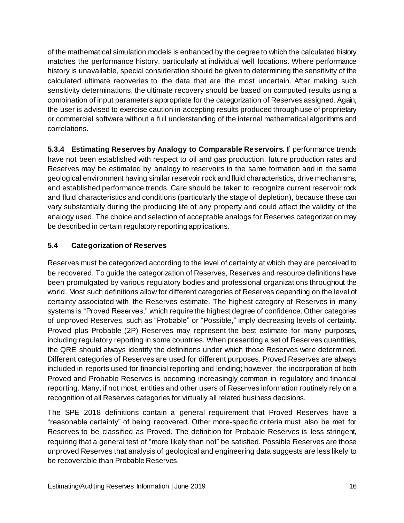of the mathematical simulation models is enhanced by the degree to which the calculated history matches the performance history, particularly at individual well locations. Where performance history is unavailable, special consideration should be given to determining the sensitivity of the calculated ultimate recoveries to the data that are the most uncertain. After making such sensitivity determinations, the ultimate recovery should be based on computed results using a combination of input parameters appropriate for the categorization of Reserves assigned. Again, the user is advised to exercise caution in accepting results produced through use of proprietary or commercial software without a full understanding of the internal mathematical algorithms and correlations.

**5.3.4 Estimating Reserves by Analogy to Comparable Reservoirs.** If performance trends have not been established with respect to oil and gas production, future production rates and Reserves may be estimated by analogy to reservoirs in the same formation and in the same geological environment having similar reservoir rock and fluid characteristics, drive mechanisms, and established performance trends. Care should be taken to recognize current reservoir rock and fluid characteristics and conditions (particularly the stage of depletion), because these can vary substantially during the producing life of any property and could affect the validity of the analogy used. The choice and selection of acceptable analogs for Reserves categorization may be described in certain regulatory reporting applications.

# <span id="page-15-0"></span>**5.4 Categorization of Reserves**

Reserves must be categorized according to the level of certainty at which they are perceived to be recovered. To guide the categorization of Reserves, Reserves and resource definitions have been promulgated by various regulatory bodies and professional organizations throughout the world. Most such definitions allow for different categories of Reserves depending on the level of certainty associated with the Reserves estimate. The highest category of Reserves in many systems is "Proved Reserves," which require the highest degree of confidence. Other categories of unproved Reserves, such as "Probable" or "Possible," imply decreasing levels of certainty. Proved plus Probable (2P) Reserves may represent the best estimate for many purposes, including regulatory reporting in some countries. When presenting a set of Reserves quantities, the QRE should always identify the definitions under which those Reserves were determined. Different categories of Reserves are used for different purposes. Proved Reserves are always included in reports used for financial reporting and lending; however, the incorporation of both Proved and Probable Reserves is becoming increasingly common in regulatory and financial reporting. Many, if not most, entities and other users of Reserves information routinely rely on a recognition of all Reserves categories for virtually all related business decisions.

The SPE 2018 definitions contain a general requirement that Proved Reserves have a "reasonable certainty" of being recovered. Other more-specific criteria must also be met for Reserves to be classified as Proved. The definition for Probable Reserves is less stringent, requiring that a general test of "more likely than not" be satisfied. Possible Reserves are those unproved Reserves that analysis of geological and engineering data suggests are less likely to be recoverable than Probable Reserves.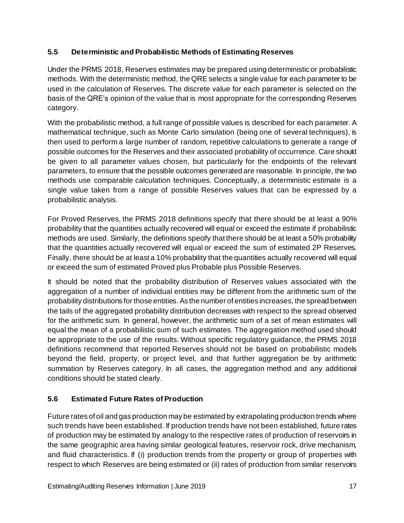## <span id="page-16-0"></span>**5.5 Deterministic and Probabilistic Methods of Estimating Reserves**

Under the PRMS 2018, Reserves estimates may be prepared using deterministic or probabilistic methods. With the deterministic method, the QRE selects a single value for each parameter to be used in the calculation of Reserves. The discrete value for each parameter is selected on the basis of the QRE's opinion of the value that is most appropriate for the corresponding Reserves category.

With the probabilistic method, a full range of possible values is described for each parameter. A mathematical technique, such as Monte Carlo simulation (being one of several techniques), is then used to perform a large number of random, repetitive calculations to generate a range of possible outcomes for the Reserves and their associated probability of occurrence. Care should be given to all parameter values chosen, but particularly for the endpoints of the relevant parameters, to ensure that the possible outcomes generated are reasonable. In principle, the two methods use comparable calculation techniques. Conceptually, a deterministic estimate is a single value taken from a range of possible Reserves values that can be expressed by a probabilistic analysis.

For Proved Reserves, the PRMS 2018 definitions specify that there should be at least a 90% probability that the quantities actually recovered will equal or exceed the estimate if probabilistic methods are used. Similarly, the definitions specify that there should be at least a 50% probability that the quantities actually recovered will equal or exceed the sum of estimated 2P Reserves. Finally, there should be at least a 10% probability that the quantities actually recovered will equal or exceed the sum of estimated Proved plus Probable plus Possible Reserves.

It should be noted that the probability distribution of Reserves values associated with the aggregation of a number of individual entities may be different from the arithmetic sum of the probability distributions for those entities. As the number of entities increases, the spread between the tails of the aggregated probability distribution decreases with respect to the spread observed for the arithmetic sum. In general, however, the arithmetic sum of a set of mean estimates will equal the mean of a probabilistic sum of such estimates. The aggregation method used should be appropriate to the use of the results. Without specific regulatory guidance, the PRMS 2018 definitions recommend that reported Reserves should not be based on probabilistic models beyond the field, property, or project level, and that further aggregation be by arithmetic summation by Reserves category. In all cases, the aggregation method and any additional conditions should be stated clearly.

# <span id="page-16-1"></span>**5.6 Estimated Future Rates of Production**

Future rates of oil and gas production may be estimated by extrapolating production trends where such trends have been established. If production trends have not been established, future rates of production may be estimated by analogy to the respective rates of production of reservoirs in the same geographic area having similar geological features, reservoir rock, drive mechanism, and fluid characteristics. If (i) production trends from the property or group of properties with respect to which Reserves are being estimated or (ii) rates of production from similar reservoirs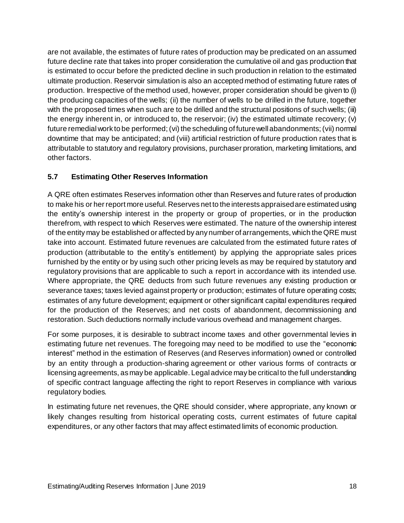are not available, the estimates of future rates of production may be predicated on an assumed future decline rate that takes into proper consideration the cumulative oil and gas production that is estimated to occur before the predicted decline in such production in relation to the estimated ultimate production. Reservoir simulation is also an accepted method of estimating future rates of production. Irrespective of the method used, however, proper consideration should be given to (i) the producing capacities of the wells; (ii) the number of wells to be drilled in the future, together with the proposed times when such are to be drilled and the structural positions of such wells; (iii) the energy inherent in, or introduced to, the reservoir; (iv) the estimated ultimate recovery; (v) future remedial work to be performed; (vi) the scheduling of futurewellabandonments;(vii) normal downtime that may be anticipated; and (viii) artificial restriction of future production rates that is attributable to statutory and regulatory provisions, purchaser proration, marketing limitations, and other factors.

## <span id="page-17-0"></span>**5.7 Estimating Other Reserves Information**

A QRE often estimates Reserves information other than Reserves and future rates of production to make his or her report more useful. Reserves net to the interests appraisedare estimated using the entity's ownership interest in the property or group of properties, or in the production therefrom, with respect to which Reserves were estimated. The nature of the ownership interest of the entity may be established or affected by any number of arrangements, which the QRE must take into account. Estimated future revenues are calculated from the estimated future rates of production (attributable to the entity's entitlement) by applying the appropriate sales prices furnished by the entity or by using such other pricing levels as may be required by statutory and regulatory provisions that are applicable to such a report in accordance with its intended use. Where appropriate, the QRE deducts from such future revenues any existing production or severance taxes; taxes levied against property or production; estimates of future operating costs; estimates of any future development; equipment or other significant capital expenditures required for the production of the Reserves; and net costs of abandonment, decommissioning and restoration. Such deductions normally include various overhead and management charges.

For some purposes, it is desirable to subtract income taxes and other governmental levies in estimating future net revenues. The foregoing may need to be modified to use the "economic interest" method in the estimation of Reserves (and Reserves information) owned or controlled by an entity through a production-sharing agreement or other various forms of contracts or licensing agreements, as may be applicable. Legal advice may be critical to the full understanding of specific contract language affecting the right to report Reserves in compliance with various regulatory bodies.

In estimating future net revenues, the QRE should consider, where appropriate, any known or likely changes resulting from historical operating costs, current estimates of future capital expenditures, or any other factors that may affect estimated limits of economic production.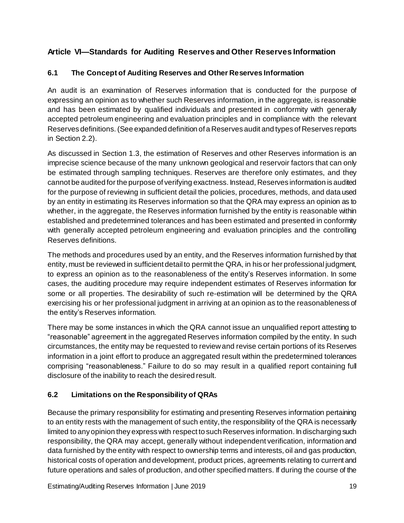# <span id="page-18-0"></span>**Article VI—Standards for Auditing Reserves and Other Reserves Information**

## <span id="page-18-1"></span>**6.1 The Concept of Auditing Reserves and Other Reserves Information**

An audit is an examination of Reserves information that is conducted for the purpose of expressing an opinion as to whether such Reserves information, in the aggregate, is reasonable and has been estimated by qualified individuals and presented in conformity with generally accepted petroleum engineering and evaluation principles and in compliance with the relevant Reserves definitions. (See expanded definition of a Reserves audit and types of Reserves reports in Section 2.2).

As discussed in Section 1.3, the estimation of Reserves and other Reserves information is an imprecise science because of the many unknown geological and reservoir factors that can only be estimated through sampling techniques. Reserves are therefore only estimates, and they cannot be audited for the purpose of verifying exactness. Instead, Reserves information is audited for the purpose of reviewing in sufficient detail the policies, procedures, methods, and data used by an entity in estimating its Reserves information so that the QRA may express an opinion as to whether, in the aggregate, the Reserves information furnished by the entity is reasonable within established and predetermined tolerances and has been estimated and presented in conformity with generally accepted petroleum engineering and evaluation principles and the controlling Reserves definitions.

The methods and procedures used by an entity, and the Reserves information furnished by that entity, must be reviewed in sufficient detail to permit the QRA, in his or her professional judgment, to express an opinion as to the reasonableness of the entity's Reserves information. In some cases, the auditing procedure may require independent estimates of Reserves information for some or all properties. The desirability of such re-estimation will be determined by the QRA exercising his or her professional judgment in arriving at an opinion as to the reasonableness of the entity's Reserves information.

There may be some instances in which the QRA cannot issue an unqualified report attesting to "reasonable" agreement in the aggregated Reserves information compiled by the entity. In such circumstances, the entity may be requested to reviewand revise certain portions of its Reserves information in a joint effort to produce an aggregated result within the predetermined tolerances comprising "reasonableness." Failure to do so may result in a qualified report containing full disclosure of the inability to reach the desired result.

#### <span id="page-18-2"></span>**6.2 Limitations on the Responsibility of QRAs**

Because the primary responsibility for estimating and presenting Reserves information pertaining to an entity rests with the management of such entity, the responsibility of the QRA is necessarily limited to any opinion they express with respect to such Reserves information. In discharging such responsibility, the QRA may accept, generally without independent verification, information and data furnished by the entity with respect to ownership terms and interests, oil and gas production, historical costs of operation and development, product prices, agreements relating to current and future operations and sales of production, and other specified matters. If during the course of the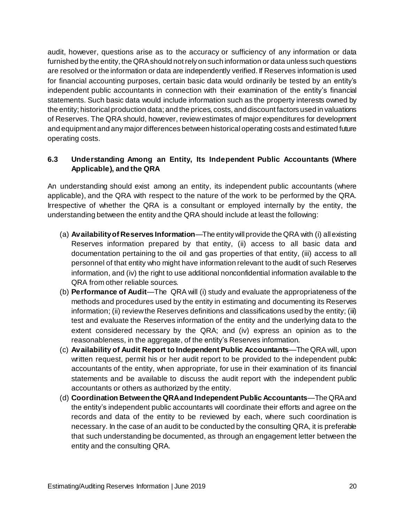audit, however, questions arise as to the accuracy or sufficiency of any information or data furnished by the entity, the QRA should not rely on such information or data unless such questions are resolved or the information or data are independently verified. If Reserves information is used for financial accounting purposes, certain basic data would ordinarily be tested by an entity's independent public accountants in connection with their examination of the entity's financial statements. Such basic data would include information such as the property interests owned by the entity; historical production data; and the prices, costs, and discount factors used in valuations of Reserves. The QRA should, however, reviewestimates of major expenditures for development and equipment and any major differences between historical operating costs and estimated future operating costs.

#### <span id="page-19-0"></span>**6.3 Understanding Among an Entity, Its Independent Public Accountants (Where Applicable), and the QRA**

An understanding should exist among an entity, its independent public accountants (where applicable), and the QRA with respect to the nature of the work to be performed by the QRA. Irrespective of whether the QRA is a consultant or employed internally by the entity, the understanding between the entity and the QRA should include at least the following:

- (a) **Availabilityof Reserves Information**—The entity willprovide the QRA with (i) allexisting Reserves information prepared by that entity, (ii) access to all basic data and documentation pertaining to the oil and gas properties of that entity, (iii) access to all personnel of that entity who might have information relevant to the audit of such Reserves information, and (iv) the right to use additional nonconfidential information available to the QRA from other reliable sources.
- (b) **Performance of Audit**—The QRA will (i) study and evaluate the appropriateness of the methods and procedures used by the entity in estimating and documenting its Reserves information; (ii) reviewthe Reserves definitions and classifications used by the entity; (iii) test and evaluate the Reserves information of the entity and the underlying data to the extent considered necessary by the QRA; and (iv) express an opinion as to the reasonableness, in the aggregate, of the entity's Reserves information.
- (c) **Availability of Audit Report to Independent Public Accountants**—The QRA will, upon written request, permit his or her audit report to be provided to the independent public accountants of the entity, when appropriate, for use in their examination of its financial statements and be available to discuss the audit report with the independent public accountants or others as authorized by the entity.
- (d) **Coordination Betweenthe QRAand Independent Public Accountants**—The QRAand the entity's independent public accountants will coordinate their efforts and agree on the records and data of the entity to be reviewed by each, where such coordination is necessary. In the case of an audit to be conducted by the consulting QRA, it is preferable that such understanding be documented, as through an engagement letter between the entity and the consulting QRA.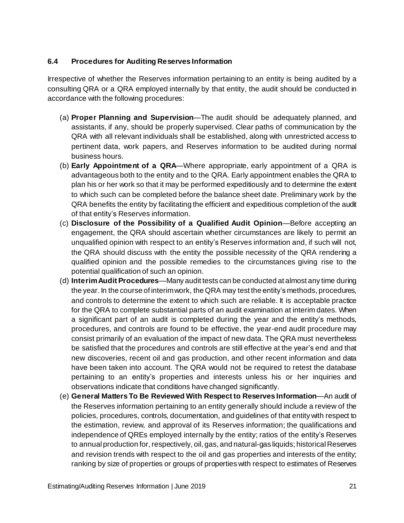#### <span id="page-20-0"></span>**6.4 Procedures for Auditing Reserves Information**

Irrespective of whether the Reserves information pertaining to an entity is being audited by a consulting QRA or a QRA employed internally by that entity, the audit should be conducted in accordance with the following procedures:

- (a) **Proper Planning and Supervision**—The audit should be adequately planned, and assistants, if any, should be properly supervised. Clear paths of communication by the QRA with all relevant individuals shall be established, along with unrestricted access to pertinent data, work papers, and Reserves information to be audited during normal business hours.
- (b) **Early Appointment of a QRA**—Where appropriate, early appointment of a QRA is advantageous both to the entity and to the QRA. Early appointment enables the QRA to plan his or her work so that it may be performed expeditiously and to determine the extent to which such can be completed before the balance sheet date. Preliminary work by the QRA benefits the entity by facilitating the efficient and expeditious completion of the audit of that entity's Reserves information.
- (c) **Disclosure of the Possibility of a Qualified Audit Opinion**—Before accepting an engagement, the QRA should ascertain whether circumstances are likely to permit an unqualified opinion with respect to an entity's Reserves information and, if such will not, the QRA should discuss with the entity the possible necessity of the QRA rendering a qualified opinion and the possible remedies to the circumstances giving rise to the potential qualification of such an opinion.
- (d) **InterimAudit Procedures**—Many audit tests can be conducted at almost any time during the year. In the course of interimwork, the QRA may test the entity's methods, procedures, and controls to determine the extent to which such are reliable. It is acceptable practice for the QRA to complete substantial parts of an audit examination at interim dates. When a significant part of an audit is completed during the year and the entity's methods, procedures, and controls are found to be effective, the year-end audit procedure may consist primarily of an evaluation of the impact of new data. The QRA must nevertheless be satisfied that the procedures and controls are still effective at the year's end and that new discoveries, recent oil and gas production, and other recent information and data have been taken into account. The QRA would not be required to retest the database pertaining to an entity's properties and interests unless his or her inquiries and observations indicate that conditions have changed significantly.
- (e) **General Matters To Be Reviewed With Respect to Reserves Information**—An audit of the Reserves information pertaining to an entity generally should include a review of the policies, procedures, controls, documentation, and guidelines of that entity with respect to the estimation, review, and approval of its Reserves information; the qualifications and independence of QREs employed internally by the entity; ratios of the entity's Reserves to annual production for, respectively, oil, gas, and natural-gas liquids; historical Reserves and revision trends with respect to the oil and gas properties and interests of the entity; ranking by size of properties or groups of properties with respect to estimates of Reserves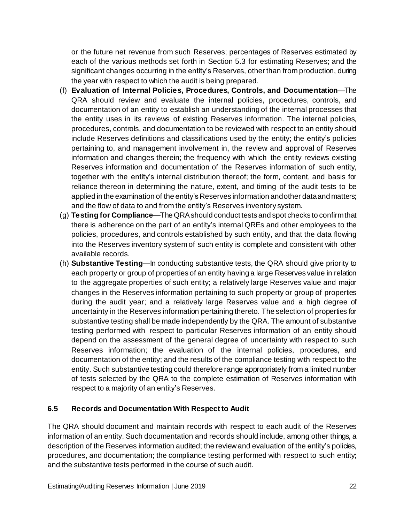or the future net revenue from such Reserves; percentages of Reserves estimated by each of the various methods set forth in Section 5.3 for estimating Reserves; and the significant changes occurring in the entity's Reserves, other than from production, during the year with respect to which the audit is being prepared.

- (f) **Evaluation of Internal Policies, Procedures, Controls, and Documentation**—The QRA should review and evaluate the internal policies, procedures, controls, and documentation of an entity to establish an understanding of the internal processes that the entity uses in its reviews of existing Reserves information. The internal policies, procedures, controls, and documentation to be reviewed with respect to an entity should include Reserves definitions and classifications used by the entity; the entity's policies pertaining to, and management involvement in, the review and approval of Reserves information and changes therein; the frequency with which the entity reviews existing Reserves information and documentation of the Reserves information of such entity, together with the entity's internal distribution thereof; the form, content, and basis for reliance thereon in determining the nature, extent, and timing of the audit tests to be applied in the examination of the entity's Reserves information andother dataand matters; and the flow of data to and from the entity's Reserves inventory system.
- (g) **Testing for Compliance**—The QRAshould conduct tests and spot checks to confirmthat there is adherence on the part of an entity's internal QREs and other employees to the policies, procedures, and controls established by such entity, and that the data flowing into the Reserves inventory system of such entity is complete and consistent with other available records.
- (h) **Substantive Testing**—In conducting substantive tests, the QRA should give priority to each property or group of properties of an entity having a large Reserves value in relation to the aggregate properties of such entity; a relatively large Reserves value and major changes in the Reserves information pertaining to such property or group of properties during the audit year; and a relatively large Reserves value and a high degree of uncertainty in the Reserves information pertaining thereto. The selection of properties for substantive testing shall be made independently by the QRA. The amount of substantive testing performed with respect to particular Reserves information of an entity should depend on the assessment of the general degree of uncertainty with respect to such Reserves information; the evaluation of the internal policies, procedures, and documentation of the entity; and the results of the compliance testing with respect to the entity. Such substantive testing could therefore range appropriately from a limited number of tests selected by the QRA to the complete estimation of Reserves information with respect to a majority of an entity's Reserves.

#### <span id="page-21-0"></span>**6.5 Records and Documentation With Respect to Audit**

The QRA should document and maintain records with respect to each audit of the Reserves information of an entity. Such documentation and records should include, among other things, a description of the Reserves information audited; the reviewand evaluation of the entity's policies, procedures, and documentation; the compliance testing performed with respect to such entity; and the substantive tests performed in the course of such audit.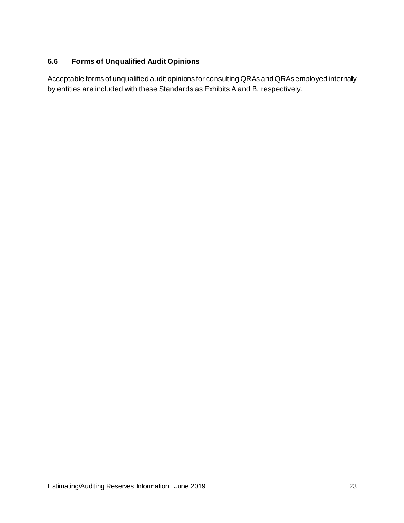## <span id="page-22-0"></span>**6.6 Forms of Unqualified Audit Opinions**

Acceptable forms of unqualified audit opinions for consulting QRAs and QRAs employed internally by entities are included with these Standards as Exhibits A and B, respectively.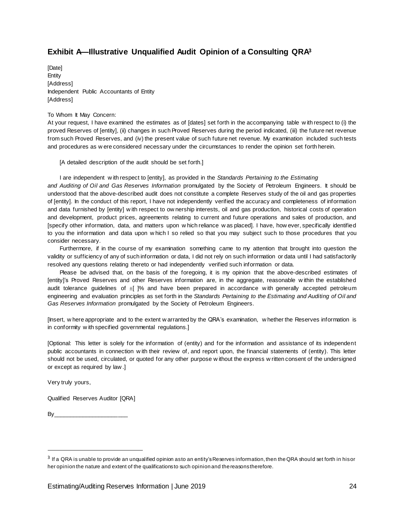## <span id="page-23-0"></span>**Exhibit A—Illustrative Unqualified Audit Opinion of a Consulting QRA<sup>3</sup>**

[Date] Entity [Address] Independent Public Accountants of Entity **[Address]** 

#### To Whom It May Concern:

At your request, I have examined the estimates as of [dates] set forth in the accompanying table w ith respect to (i) the proved Reserves of [entity], (ii) changes in such Proved Reserves during the period indicated, (iii) the future net revenue from such Proved Reserves, and (iv) the present value of such future net revenue. My examination included such tests and procedures as w ere considered necessary under the circumstances to render the opinion set forth herein.

[A detailed description of the audit should be set forth.]

I are independent w ith respect to [entity], as provided in the *Standards Pertaining to the Estimating and Auditing of Oil and Gas Reserves Information* promulgated by the Society of Petroleum Engineers. It should be understood that the above-described audit does not constitute a complete Reserves study of the oil and gas properties of [entity]. In the conduct of this report, I have not independently verified the accuracy and completeness of information and data furnished by [entity] w ith respect to ow nership interests, oil and gas production, historical costs of operation and development, product prices, agreements relating to current and future operations and sales of production, and [specify other information, data, and matters upon w hich reliance w as placed]. I have, how ever, specifically identified to you the information and data upon w hich I so relied so that you may subject such to those procedures that you consider necessary.

Furthermore, if in the course of my examination something came to my attention that brought into question the validity or sufficiency of any of such information or data, I did not rely on such information or data until I had satisfactorily resolved any questions relating thereto or had independently verified such information or data.

Please be advised that, on the basis of the foregoing, it is my opinion that the above-described estimates of [entity]'s Proved Reserves and other Reserves information are, in the aggregate, reasonable w ithin the established audit tolerance guidelines of  $\pm$  |% and have been prepared in accordance with generally accepted petroleum engineering and evaluation principles as set forth in the *Standards Pertaining to the Estimating and Auditing of Oil and Gas Reserves Information* promulgated by the Society of Petroleum Engineers.

[Insert, w here appropriate and to the extent w arranted by the QRA's examination, w hether the Reserves information is in conformity w ith specified governmental regulations.]

[Optional: This letter is solely for the information of (entity) and for the information and assistance of its independent public accountants in connection w ith their review of, and report upon, the financial statements of (entity). This letter should not be used, circulated, or quoted for any other purpose w ithout the express w ritten consent of the undersigned or except as required by law .]

Very truly yours,

l

Qualified Reserves Auditor [QRA]

By\_\_\_\_\_\_\_\_\_\_\_\_\_\_\_\_\_\_\_\_\_\_\_

 $^3$  If a QRA is unable to provide an unqualified opinion asto an entity's Reserves information, then the QRA should set forth in hisor her opinion the nature and extent of the qualificationsto such opinion and the reasonstherefore.